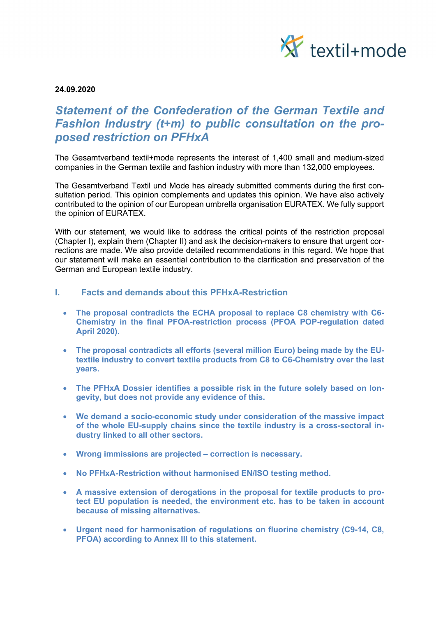

24.09.2020

# Statement of the Confederation of the German Textile and Fashion Industry (t+m) to public consultation on the proposed restriction on PFHxA

The Gesamtverband textil+mode represents the interest of 1,400 small and medium-sized companies in the German textile and fashion industry with more than 132,000 employees.

The Gesamtverband Textil und Mode has already submitted comments during the first consultation period. This opinion complements and updates this opinion. We have also actively contributed to the opinion of our European umbrella organisation EURATEX. We fully support the opinion of EURATEX.

With our statement, we would like to address the critical points of the restriction proposal (Chapter I), explain them (Chapter II) and ask the decision-makers to ensure that urgent corrections are made. We also provide detailed recommendations in this regard. We hope that our statement will make an essential contribution to the clarification and preservation of the German and European textile industry.

### I. Facts and demands about this PFHxA-Restriction

- The proposal contradicts the ECHA proposal to replace C8 chemistry with C6- Chemistry in the final PFOA-restriction process (PFOA POP-regulation dated April 2020).
- The proposal contradicts all efforts (several million Euro) being made by the EUtextile industry to convert textile products from C8 to C6-Chemistry over the last years.
- The PFHxA Dossier identifies a possible risk in the future solely based on longevity, but does not provide any evidence of this.
- We demand a socio-economic study under consideration of the massive impact of the whole EU-supply chains since the textile industry is a cross-sectoral industry linked to all other sectors.
- Wrong immissions are projected correction is necessary.
- No PFHxA-Restriction without harmonised EN/ISO testing method.
- A massive extension of derogations in the proposal for textile products to protect EU population is needed, the environment etc. has to be taken in account because of missing alternatives.
- Urgent need for harmonisation of regulations on fluorine chemistry (C9-14, C8, PFOA) according to Annex III to this statement.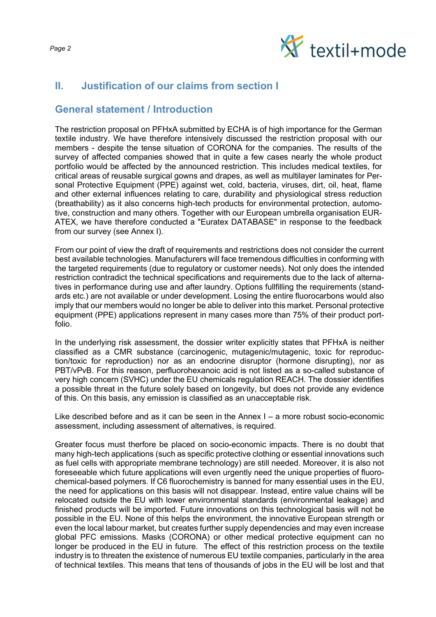

## II. Justification of our claims from section I

## General statement / Introduction

The restriction proposal on PFHxA submitted by ECHA is of high importance for the German textile industry. We have therefore intensively discussed the restriction proposal with our members - despite the tense situation of CORONA for the companies. The results of the survey of affected companies showed that in quite a few cases nearly the whole product portfolio would be affected by the announced restriction. This includes medical textiles, for critical areas of reusable surgical gowns and drapes, as well as multilayer laminates for Personal Protective Equipment (PPE) against wet, cold, bacteria, viruses, dirt, oil, heat, flame and other external influences relating to care, durability and physiological stress reduction (breathability) as it also concerns high-tech products for environmental protection, automotive, construction and many others. Together with our European umbrella organisation EUR-ATEX, we have therefore conducted a "Euratex DATABASE" in response to the feedback from our survey (see Annex I).

From our point of view the draft of requirements and restrictions does not consider the current best available technologies. Manufacturers will face tremendous difficulties in conforming with the targeted requirements (due to regulatory or customer needs). Not only does the intended restriction contradict the technical specifications and requirements due to the Iack of alternatives in performance during use and after laundry. Options fullfilling the requirements (standards etc.) are not available or under development. Losing the entire fluorocarbons would also imply that our members would no longer be able to deliver into this market. Personal protective equipment (PPE) applications represent in many cases more than 75% of their product portfolio.

In the underlying risk assessment, the dossier writer explicitly states that PFHxA is neither classified as a CMR substance (carcinogenic, mutagenic/mutagenic, toxic for reproduction/toxic for reproduction) nor as an endocrine disruptor (hormone disrupting), nor as PBT/vPvB. For this reason, perfluorohexanoic acid is not listed as a so-called substance of very high concern (SVHC) under the EU chemicals regulation REACH. The dossier identifies a possible threat in the future solely based on longevity, but does not provide any evidence of this. On this basis, any emission is classified as an unacceptable risk.

Like described before and as it can be seen in the Annex I – a more robust socio-economic assessment, including assessment of alternatives, is required.

Greater focus must therfore be placed on socio-economic impacts. There is no doubt that many high-tech applications (such as specific protective clothing or essential innovations such as fuel cells with appropriate membrane technology) are still needed. Moreover, it is also not foreseeable which future applications will even urgently need the unique properties of fluorochemical-based polymers. If C6 fluorochemistry is banned for many essential uses in the EU, the need for applications on this basis will not disappear. Instead, entire value chains will be relocated outside the EU with lower environmental standards (environmental leakage) and finished products will be imported. Future innovations on this technological basis will not be possible in the EU. None of this helps the environment, the innovative European strength or even the local labour market, but creates further supply dependencies and may even increase global PFC emissions. Masks (CORONA) or other medical protective equipment can no longer be produced in the EU in future. The effect of this restriction process on the textile industry is to threaten the existence of numerous EU textile companies, particularly in the area of technical textiles. This means that tens of thousands of jobs in the EU will be lost and that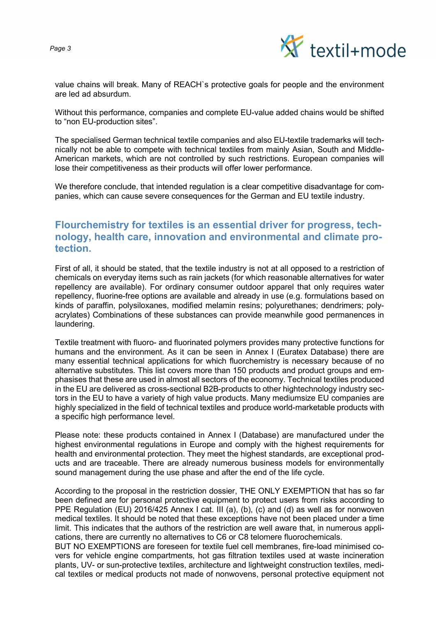



value chains will break. Many of REACH`s protective goals for people and the environment are led ad absurdum.

Without this performance, companies and complete EU-value added chains would be shifted to "non EU-production sites".

The specialised German technical textile companies and also EU-textile trademarks will technically not be able to compete with technical textiles from mainly Asian, South and Middle-American markets, which are not controlled by such restrictions. European companies will lose their competitiveness as their products will offer lower performance.

We therefore conclude, that intended regulation is a clear competitive disadvantage for companies, which can cause severe consequences for the German and EU textile industry.

## Flourchemistry for textiles is an essential driver for progress, technology, health care, innovation and environmental and climate protection.

First of all, it should be stated, that the textile industry is not at all opposed to a restriction of chemicals on everyday items such as rain jackets (for which reasonable alternatives for water repellency are available). For ordinary consumer outdoor apparel that only requires water repellency, fluorine-free options are available and already in use (e.g. formulations based on kinds of paraffin, polysiloxanes, modified melamin resins; polyurethanes; dendrimers; polyacrylates) Combinations of these substances can provide meanwhile good permanences in laundering.

Textile treatment with fluoro- and fluorinated polymers provides many protective functions for humans and the environment. As it can be seen in Annex I (Euratex Database) there are many essential technical applications for which fluorchemistry is necessary because of no alternative substitutes. This list covers more than 150 products and product groups and emphasises that these are used in almost all sectors of the economy. Technical textiles produced in the EU are delivered as cross-sectional B2B-products to other hightechnology industry sectors in the EU to have a variety of high value products. Many mediumsize EU companies are highly specialized in the field of technical textiles and produce world-marketable products with a specific high performance Ievel.

Please note: these products contained in Annex I (Database) are manufactured under the highest environmental regulations in Europe and comply with the highest requirements for health and environmental protection. They meet the highest standards, are exceptional products and are traceable. There are already numerous business models for environmentally sound management during the use phase and after the end of the life cycle.

According to the proposal in the restriction dossier, THE ONLY EXEMPTION that has so far been defined are for personal protective equipment to protect users from risks according to PPE Regulation (EU) 2016/425 Annex I cat. III (a), (b), (c) and (d) as well as for nonwoven medical textiles. It should be noted that these exceptions have not been placed under a time limit. This indicates that the authors of the restriction are well aware that, in numerous applications, there are currently no alternatives to C6 or C8 telomere fluorochemicals.

BUT NO EXEMPTIONS are foreseen for textile fuel cell membranes, fire-load minimised covers for vehicle engine compartments, hot gas filtration textiles used at waste incineration plants, UV- or sun-protective textiles, architecture and lightweight construction textiles, medical textiles or medical products not made of nonwovens, personal protective equipment not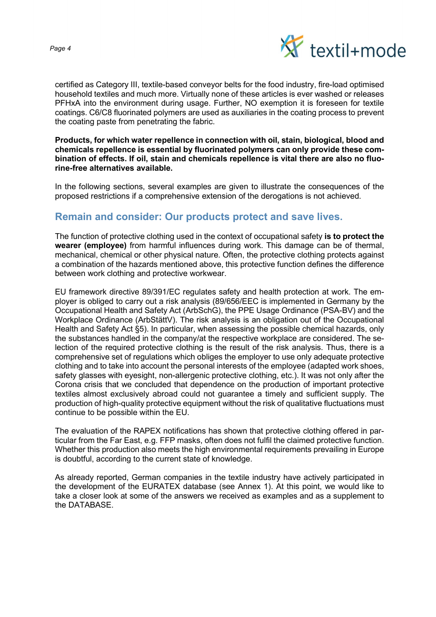

certified as Category III, textile-based conveyor belts for the food industry, fire-load optimised household textiles and much more. Virtually none of these articles is ever washed or releases PFHxA into the environment during usage. Further, NO exemption it is foreseen for textile coatings. C6/C8 fluorinated polymers are used as auxiliaries in the coating process to prevent the coating paste from penetrating the fabric.

Products, for which water repellence in connection with oil, stain, biological, blood and chemicals repellence is essential by fluorinated polymers can only provide these combination of effects. If oil, stain and chemicals repellence is vital there are also no fluorine-free alternatives available.

In the following sections, several examples are given to illustrate the consequences of the proposed restrictions if a comprehensive extension of the derogations is not achieved.

## Remain and consider: Our products protect and save lives.

The function of protective clothing used in the context of occupational safety is to protect the wearer (employee) from harmful influences during work. This damage can be of thermal, mechanical, chemical or other physical nature. Often, the protective clothing protects against a combination of the hazards mentioned above, this protective function defines the difference between work clothing and protective workwear.

EU framework directive 89/391/EC regulates safety and health protection at work. The employer is obliged to carry out a risk analysis (89/656/EEC is implemented in Germany by the Occupational Health and Safety Act (ArbSchG), the PPE Usage Ordinance (PSA-BV) and the Workplace Ordinance (ArbStättV). The risk analysis is an obligation out of the Occupational Health and Safety Act §5). In particular, when assessing the possible chemical hazards, only the substances handled in the company/at the respective workplace are considered. The selection of the required protective clothing is the result of the risk analysis. Thus, there is a comprehensive set of regulations which obliges the employer to use only adequate protective clothing and to take into account the personal interests of the employee (adapted work shoes, safety glasses with eyesight, non-allergenic protective clothing, etc.). It was not only after the Corona crisis that we concluded that dependence on the production of important protective textiles almost exclusively abroad could not guarantee a timely and sufficient supply. The production of high-quality protective equipment without the risk of qualitative fluctuations must continue to be possible within the EU.

The evaluation of the RAPEX notifications has shown that protective clothing offered in particular from the Far East, e.g. FFP masks, often does not fulfil the claimed protective function. Whether this production also meets the high environmental requirements prevailing in Europe is doubtful, according to the current state of knowledge.

As already reported, German companies in the textile industry have actively participated in the development of the EURATEX database (see Annex 1). At this point, we would like to take a closer look at some of the answers we received as examples and as a supplement to the DATABASE.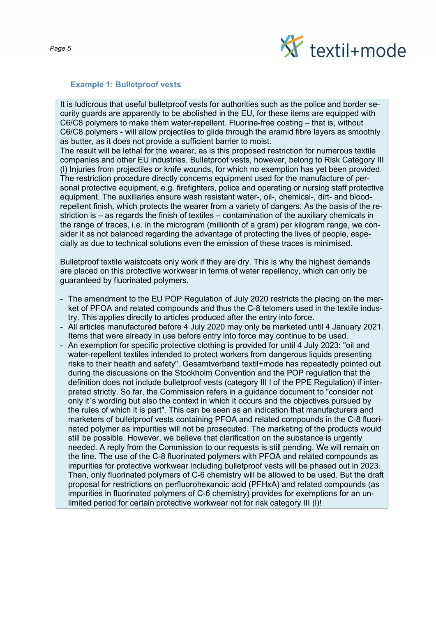

#### Example 1: Bulletproof vests

It is ludicrous that useful bulletproof vests for authorities such as the police and border security guards are apparently to be abolished in the EU, for these items are equipped with C6/C8 polymers to make them water-repellent. Fluorine-free coating – that is, without C6/C8 polymers - will allow projectiles to glide through the aramid fibre layers as smoothly as butter, as it does not provide a sufficient barrier to moist.

The result will be lethal for the wearer, as is this proposed restriction for numerous textile companies and other EU industries. Bulletproof vests, however, belong to Risk Category III (l) Injuries from projectiles or knife wounds, for which no exemption has yet been provided. The restriction procedure directly concerns equipment used for the manufacture of personal protective equipment, e.g. firefighters, police and operating or nursing staff protective equipment. The auxiliaries ensure wash resistant water-, oil-, chemical-, dirt- and bloodrepellent finish, which protects the wearer from a variety of dangers. As the basis of the restriction is – as regards the finish of textiles – contamination of the auxiliary chemicals in the range of traces, i.e. in the microgram (millionth of a gram) per kilogram range, we consider it as not balanced regarding the advantage of protecting the lives of people, especially as due to technical solutions even the emission of these traces is minimised.

Bulletproof textile waistcoats only work if they are dry. This is why the highest demands are placed on this protective workwear in terms of water repellency, which can only be guaranteed by fluorinated polymers.

- The amendment to the EU POP Regulation of July 2020 restricts the placing on the market of PFOA and related compounds and thus the C-8 telomers used in the textile industry. This applies directly to articles produced after the entry into force.
- All articles manufactured before 4 July 2020 may only be marketed until 4 January 2021. Items that were already in use before entry into force may continue to be used.
- An exemption for specific protective clothing is provided for until 4 July 2023: "oil and water-repellent textiles intended to protect workers from dangerous liquids presenting risks to their health and safety". Gesamtverband textil+mode has repeatedly pointed out during the discussions on the Stockholm Convention and the POP regulation that the definition does not include bulletproof vests (category III l of the PPE Regulation) if interpreted strictly. So far, the Commission refers in a guidance document to "consider not only it´s wording but also the context in which it occurs and the objectives pursued by the rules of which it is part". This can be seen as an indication that manufacturers and marketers of bulletproof vests containing PFOA and related compounds in the C-8 fluorinated polymer as impurities will not be prosecuted. The marketing of the products would still be possible. However, we believe that clarification on the substance is urgently needed. A reply from the Commission to our requests is still pending. We will remain on the line. The use of the C-8 fluorinated polymers with PFOA and related compounds as impurities for protective workwear including bulletproof vests will be phased out in 2023. Then, only fluorinated polymers of C-6 chemistry will be allowed to be used. But the draft proposal for restrictions on perfluorohexanoic acid (PFHxA) and related compounds (as impurities in fluorinated polymers of C-6 chemistry) provides for exemptions for an unlimited period for certain protective workwear not for risk category III (l)!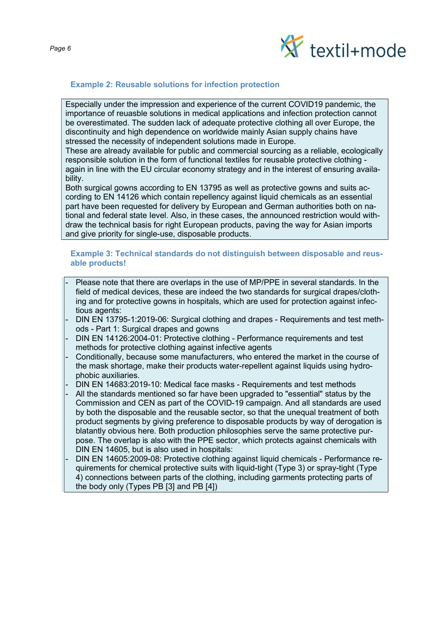

### Example 2: Reusable solutions for infection protection

Especially under the impression and experience of the current COVID19 pandemic, the importance of reuasble solutions in medical applications and infection protection cannot be overestimated. The sudden lack of adequate protective clothing all over Europe, the discontinuity and high dependence on worldwide mainly Asian supply chains have stressed the necessity of independent solutions made in Europe.

These are already available for public and commercial sourcing as a reliable, ecologically responsible solution in the form of functional textiles for reusable protective clothing again in line with the EU circular economy strategy and in the interest of ensuring availability.

Both surgical gowns according to EN 13795 as well as protective gowns and suits according to EN 14126 which contain repellency against liquid chemicals as an essential part have been requested for delivery by European and German authorities both on national and federal state Ievel. Also, in these cases, the announced restriction would withdraw the technical basis for right European products, paving the way for Asian imports and give priority for single-use, disposable products.

#### Example 3: Technical standards do not distinguish between disposable and reusable products!

- Please note that there are overlaps in the use of MP/PPE in several standards. In the field of medical devices, these are indeed the two standards for surgical drapes/clothing and for protective gowns in hospitals, which are used for protection against infectious agents:
- DIN EN 13795-1:2019-06: Surgical clothing and drapes Requirements and test methods - Part 1: Surgical drapes and gowns
- DIN EN 14126:2004-01: Protective clothing Performance requirements and test methods for protective clothing against infective agents
- Conditionally, because some manufacturers, who entered the market in the course of the mask shortage, make their products water-repellent against liquids using hydrophobic auxiliaries.
- DIN EN 14683:2019-10: Medical face masks Requirements and test methods
- All the standards mentioned so far have been upgraded to "essential" status by the Commission and CEN as part of the COVID-19 campaign. And all standards are used by both the disposable and the reusable sector, so that the unequal treatment of both product segments by giving preference to disposable products by way of derogation is blatantly obvious here. Both production philosophies serve the same protective purpose. The overlap is also with the PPE sector, which protects against chemicals with DIN EN 14605, but is also used in hospitals:
- DIN EN 14605:2009-08: Protective clothing against liquid chemicals Performance requirements for chemical protective suits with liquid-tight (Type 3) or spray-tight (Type 4) connections between parts of the clothing, including garments protecting parts of the body only (Types PB [3] and PB [4])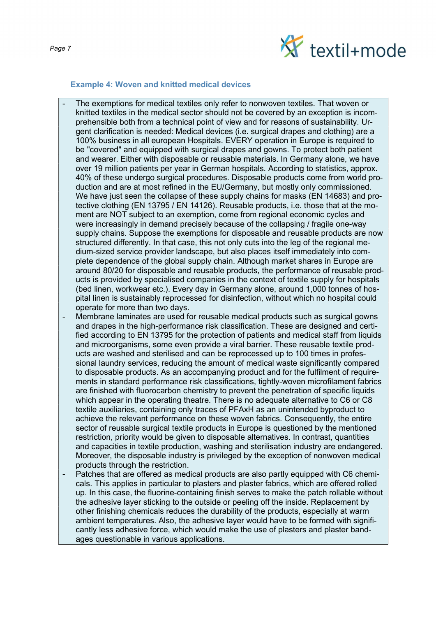

### Example 4: Woven and knitted medical devices

- The exemptions for medical textiles only refer to nonwoven textiles. That woven or knitted textiles in the medical sector should not be covered by an exception is incomprehensible both from a technical point of view and for reasons of sustainability. Urgent clarification is needed: Medical devices (i.e. surgical drapes and clothing) are a 100% business in all european Hospitals. EVERY operation in Europe is required to be "covered" and equipped with surgical drapes and gowns. To protect both patient and wearer. Either with disposable or reusable materials. In Germany alone, we have over 19 million patients per year in German hospitals. According to statistics, approx. 40% of these undergo surgical procedures. Disposable products come from world production and are at most refined in the EU/Germany, but mostly only commissioned. We have just seen the collapse of these supply chains for masks (EN 14683) and protective clothing (EN 13795 / EN 14126). Reusable products, i.e. those that at the moment are NOT subject to an exemption, come from regional economic cycles and were increasingly in demand precisely because of the collapsing / fragile one-way supply chains. Suppose the exemptions for disposable and reusable products are now structured differently. In that case, this not only cuts into the leg of the regional medium-sized service provider landscape, but also places itself immediately into complete dependence of the global supply chain. Although market shares in Europe are around 80/20 for disposable and reusable products, the performance of reusable products is provided by specialised companies in the context of textile supply for hospitals (bed linen, workwear etc.). Every day in Germany alone, around 1,000 tonnes of hospital linen is sustainably reprocessed for disinfection, without which no hospital could operate for more than two days.
- Membrane laminates are used for reusable medical products such as surgical gowns and drapes in the high-performance risk classification. These are designed and certified according to EN 13795 for the protection of patients and medical staff from liquids and microorganisms, some even provide a viral barrier. These reusable textile products are washed and sterilised and can be reprocessed up to 100 times in professional laundry services, reducing the amount of medical waste significantly compared to disposable products. As an accompanying product and for the fulfilment of requirements in standard performance risk classifications, tightly-woven microfilament fabrics are finished with fluorocarbon chemistry to prevent the penetration of specific liquids which appear in the operating theatre. There is no adequate alternative to C6 or C8 textile auxiliaries, containing only traces of PFAxH as an unintended byproduct to achieve the relevant performance on these woven fabrics. Consequently, the entire sector of reusable surgical textile products in Europe is questioned by the mentioned restriction, priority would be given to disposable alternatives. In contrast, quantities and capacities in textile production, washing and sterilisation industry are endangered. Moreover, the disposable industry is privileged by the exception of nonwoven medical products through the restriction.
- Patches that are offered as medical products are also partly equipped with C6 chemicals. This applies in particular to plasters and plaster fabrics, which are offered rolled up. In this case, the fluorine-containing finish serves to make the patch rollable without the adhesive layer sticking to the outside or peeling off the inside. Replacement by other finishing chemicals reduces the durability of the products, especially at warm ambient temperatures. Also, the adhesive layer would have to be formed with significantly less adhesive force, which would make the use of plasters and plaster bandages questionable in various applications.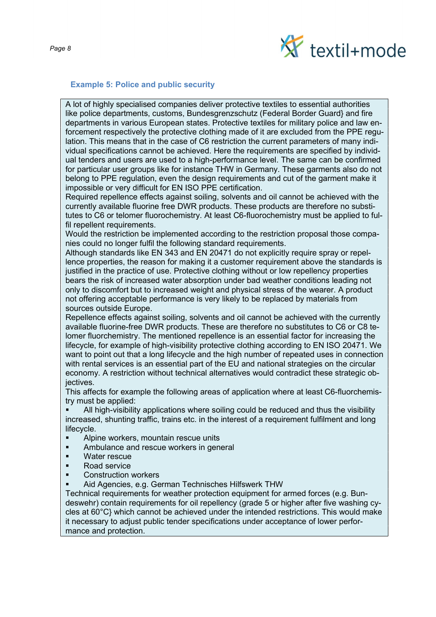

#### Example 5: Police and public security

A lot of highly specialised companies deliver protective textiles to essential authorities like police departments, customs, Bundesgrenzschutz (Federal Border Guard} and fire departments in various European states. Protective textiles for military police and law enforcement respectively the protective clothing made of it are excluded from the PPE regulation. This means that in the case of C6 restriction the current parameters of many individual specifications cannot be achieved. Here the requirements are specified by individual tenders and users are used to a high-performance level. The same can be confirmed for particular user groups like for instance THW in Germany. These garments also do not belong to PPE regulation, even the design requirements and cut of the garment make it impossible or very difficult for EN ISO PPE certification.

Required repellence effects against soiling, solvents and oil cannot be achieved with the currently available fluorine free DWR products. These products are therefore no substitutes to C6 or telomer fluorochemistry. At least C6-fluorochemistry must be applied to fulfil repellent requirements.

Would the restriction be implemented according to the restriction proposal those companies could no longer fulfil the following standard requirements.

Although standards like EN 343 and EN 20471 do not explicitly require spray or repellence properties, the reason for making it a customer requirement above the standards is justified in the practice of use. Protective clothing without or low repellency properties bears the risk of increased water absorption under bad weather conditions leading not only to discomfort but to increased weight and physical stress of the wearer. A product not offering acceptable performance is very likely to be replaced by materials from sources outside Europe.

Repellence effects against soiling, solvents and oil cannot be achieved with the currently available fluorine-free DWR products. These are therefore no substitutes to C6 or C8 telomer fluorchemistry. The mentioned repellence is an essential factor for increasing the lifecycle, for example of high-visibility protective clothing according to EN ISO 20471. We want to point out that a long lifecycle and the high number of repeated uses in connection with rental services is an essential part of the EU and national strategies on the circular economy. A restriction without technical alternatives would contradict these strategic objectives.

This affects for example the following areas of application where at least C6-fluorchemistry must be applied:

 All high-visibility applications where soiling could be reduced and thus the visibility increased, shunting traffic, trains etc. in the interest of a requirement fulfilment and long lifecycle.

- Alpine workers, mountain rescue units
- **EXECUTE:** Ambulance and rescue workers in general
- **Nater rescue**
- Road service
- Construction workers
- Aid Agencies, e.g. German Technisches Hilfswerk THW

Technical requirements for weather protection equipment for armed forces (e.g. Bundeswehr) contain requirements for oil repellency (grade 5 or higher after five washing cycles at 60°C} which cannot be achieved under the intended restrictions. This would make it necessary to adjust public tender specifications under acceptance of lower performance and protection.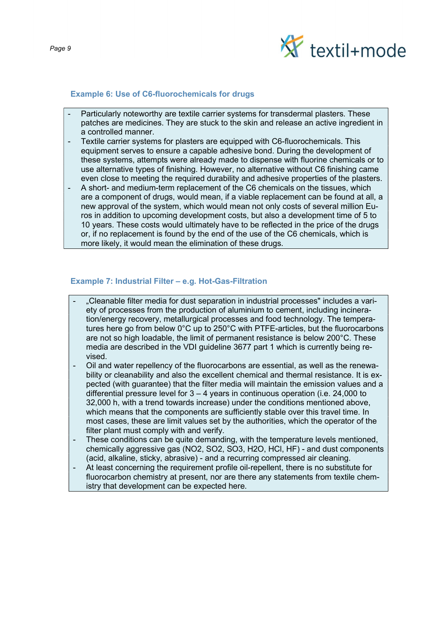

#### Example 6: Use of C6-fluorochemicals for drugs

- Particularly noteworthy are textile carrier systems for transdermal plasters. These patches are medicines. They are stuck to the skin and release an active ingredient in a controlled manner.
- Textile carrier systems for plasters are equipped with C6-fluorochemicals. This equipment serves to ensure a capable adhesive bond. During the development of these systems, attempts were already made to dispense with fluorine chemicals or to use alternative types of finishing. However, no alternative without C6 finishing came even close to meeting the required durability and adhesive properties of the plasters.
- A short- and medium-term replacement of the C6 chemicals on the tissues, which are a component of drugs, would mean, if a viable replacement can be found at all, a new approval of the system, which would mean not only costs of several million Euros in addition to upcoming development costs, but also a development time of 5 to 10 years. These costs would ultimately have to be reflected in the price of the drugs or, if no replacement is found by the end of the use of the C6 chemicals, which is more likely, it would mean the elimination of these drugs.

### Example 7: Industrial Filter – e.g. Hot-Gas-Filtration

- "Cleanable filter media for dust separation in industrial processes" includes a variety of processes from the production of aluminium to cement, including incineration/energy recovery, metallurgical processes and food technology. The temperatures here go from below 0°C up to 250°C with PTFE-articles, but the fluorocarbons are not so high loadable, the limit of permanent resistance is below 200°C. These media are described in the VDI guideline 3677 part 1 which is currently being revised.
- Oil and water repellency of the fluorocarbons are essential, as well as the renewability or cleanability and also the excellent chemical and thermal resistance. It is expected (with guarantee) that the filter media will maintain the emission values and a differential pressure level for 3 – 4 years in continuous operation (i.e. 24,000 to 32,000 h, with a trend towards increase) under the conditions mentioned above, which means that the components are sufficiently stable over this travel time. In most cases, these are limit values set by the authorities, which the operator of the filter plant must comply with and verify.
- These conditions can be quite demanding, with the temperature levels mentioned. chemically aggressive gas (NO2, SO2, SO3, H2O, HCl, HF) - and dust components (acid, alkaline, sticky, abrasive) - and a recurring compressed air cleaning.
- At least concerning the requirement profile oil-repellent, there is no substitute for fluorocarbon chemistry at present, nor are there any statements from textile chemistry that development can be expected here.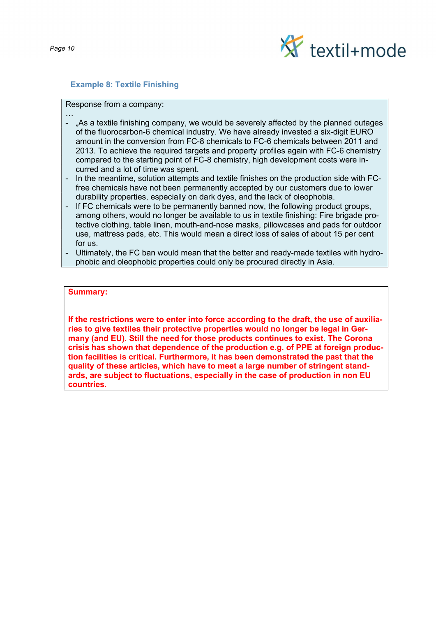

### Example 8: Textile Finishing

#### Response from a company:

- … - "As a textile finishing company, we would be severely affected by the planned outages of the fluorocarbon-6 chemical industry. We have already invested a six-digit EURO amount in the conversion from FC-8 chemicals to FC-6 chemicals between 2011 and 2013. To achieve the required targets and property profiles again with FC-6 chemistry compared to the starting point of FC-8 chemistry, high development costs were incurred and a lot of time was spent.
- In the meantime, solution attempts and textile finishes on the production side with FCfree chemicals have not been permanently accepted by our customers due to lower durability properties, especially on dark dyes, and the lack of oleophobia.
- If FC chemicals were to be permanently banned now, the following product groups, among others, would no longer be available to us in textile finishing: Fire brigade protective clothing, table linen, mouth-and-nose masks, pillowcases and pads for outdoor use, mattress pads, etc. This would mean a direct loss of sales of about 15 per cent for us.
- Ultimately, the FC ban would mean that the better and ready-made textiles with hydrophobic and oleophobic properties could only be procured directly in Asia.

### Summary:

If the restrictions were to enter into force according to the draft, the use of auxiliaries to give textiles their protective properties would no longer be legal in Germany (and EU). Still the need for those products continues to exist. The Corona crisis has shown that dependence of the production e.g. of PPE at foreign production facilities is critical. Furthermore, it has been demonstrated the past that the quality of these articles, which have to meet a large number of stringent standards, are subject to fluctuations, especially in the case of production in non EU countries.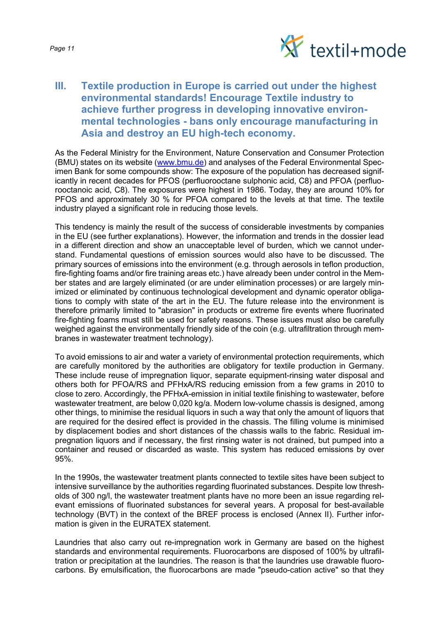

## III. Textile production in Europe is carried out under the highest environmental standards! Encourage Textile industry to achieve further progress in developing innovative environmental technologies - bans only encourage manufacturing in Asia and destroy an EU high-tech economy.

As the Federal Ministry for the Environment, Nature Conservation and Consumer Protection (BMU) states on its website (www.bmu.de) and analyses of the Federal Environmental Specimen Bank for some compounds show: The exposure of the population has decreased significantly in recent decades for PFOS (perfluorooctane sulphonic acid, C8) and PFOA (perfluorooctanoic acid, C8). The exposures were highest in 1986. Today, they are around 10% for PFOS and approximately 30 % for PFOA compared to the levels at that time. The textile industry played a significant role in reducing those levels.

This tendency is mainly the result of the success of considerable investments by companies in the EU (see further explanations). However, the information and trends in the dossier lead in a different direction and show an unacceptable level of burden, which we cannot understand. Fundamental questions of emission sources would also have to be discussed. The primary sources of emissions into the environment (e.g. through aerosols in teflon production, fire-fighting foams and/or fire training areas etc.) have already been under control in the Member states and are largely eliminated (or are under elimination processes) or are largely minimized or eliminated by continuous technological development and dynamic operator obligations to comply with state of the art in the EU. The future release into the environment is therefore primarily limited to "abrasion" in products or extreme fire events where fluorinated fire-fighting foams must still be used for safety reasons. These issues must also be carefully weighed against the environmentally friendly side of the coin (e.g. ultrafiltration through membranes in wastewater treatment technology).

To avoid emissions to air and water a variety of environmental protection requirements, which are carefully monitored by the authorities are obligatory for textile production in Germany. These include reuse of impregnation liquor, separate equipment-rinsing water disposal and others both for PFOA/RS and PFHxA/RS reducing emission from a few grams in 2010 to close to zero. Accordingly, the PFHxA-emission in initial textile finishing to wastewater, before wastewater treatment, are below 0,020 kg/a. Modern low-volume chassis is designed, among other things, to minimise the residual liquors in such a way that only the amount of liquors that are required for the desired effect is provided in the chassis. The filling volume is minimised by displacement bodies and short distances of the chassis walls to the fabric. Residual impregnation liquors and if necessary, the first rinsing water is not drained, but pumped into a container and reused or discarded as waste. This system has reduced emissions by over 95%.

In the 1990s, the wastewater treatment plants connected to textile sites have been subject to intensive surveillance by the authorities regarding fluorinated substances. Despite low thresholds of 300 ng/l, the wastewater treatment plants have no more been an issue regarding relevant emissions of fluorinated substances for several years. A proposal for best-available technology (BVT) in the context of the BREF process is enclosed (Annex II). Further information is given in the EURATEX statement.

Laundries that also carry out re-impregnation work in Germany are based on the highest standards and environmental requirements. Fluorocarbons are disposed of 100% by ultrafiltration or precipitation at the laundries. The reason is that the laundries use drawable fluorocarbons. By emulsification, the fluorocarbons are made "pseudo-cation active" so that they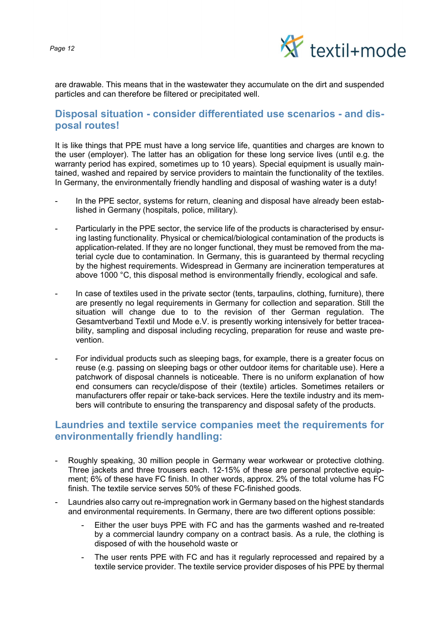

are drawable. This means that in the wastewater they accumulate on the dirt and suspended particles and can therefore be filtered or precipitated well.

## Disposal situation - consider differentiated use scenarios - and disposal routes!

It is like things that PPE must have a long service life, quantities and charges are known to the user (employer). The latter has an obligation for these long service lives (until e.g. the warranty period has expired, sometimes up to 10 years). Special equipment is usually maintained, washed and repaired by service providers to maintain the functionality of the textiles. In Germany, the environmentally friendly handling and disposal of washing water is a duty!

- In the PPE sector, systems for return, cleaning and disposal have already been established in Germany (hospitals, police, military).
- Particularly in the PPE sector, the service life of the products is characterised by ensuring lasting functionality. Physical or chemical/biological contamination of the products is application-related. If they are no longer functional, they must be removed from the material cycle due to contamination. In Germany, this is guaranteed by thermal recycling by the highest requirements. Widespread in Germany are incineration temperatures at above 1000 °C, this disposal method is environmentally friendly, ecological and safe.
- In case of textiles used in the private sector (tents, tarpaulins, clothing, furniture), there are presently no legal requirements in Germany for collection and separation. Still the situation will change due to to the revision of ther German regulation. The Gesamtverband Textil und Mode e.V. is presently working intensively for better traceability, sampling and disposal including recycling, preparation for reuse and waste prevention.
- For individual products such as sleeping bags, for example, there is a greater focus on reuse (e.g. passing on sleeping bags or other outdoor items for charitable use). Here a patchwork of disposal channels is noticeable. There is no uniform explanation of how end consumers can recycle/dispose of their (textile) articles. Sometimes retailers or manufacturers offer repair or take-back services. Here the textile industry and its members will contribute to ensuring the transparency and disposal safety of the products.

## Laundries and textile service companies meet the requirements for environmentally friendly handling:

- Roughly speaking, 30 million people in Germany wear workwear or protective clothing. Three jackets and three trousers each. 12-15% of these are personal protective equipment; 6% of these have FC finish. In other words, approx. 2% of the total volume has FC finish. The textile service serves 50% of these FC-finished goods.
- Laundries also carry out re-impregnation work in Germany based on the highest standards and environmental requirements. In Germany, there are two different options possible:
	- Either the user buys PPE with FC and has the garments washed and re-treated by a commercial laundry company on a contract basis. As a rule, the clothing is disposed of with the household waste or
	- The user rents PPE with FC and has it regularly reprocessed and repaired by a textile service provider. The textile service provider disposes of his PPE by thermal